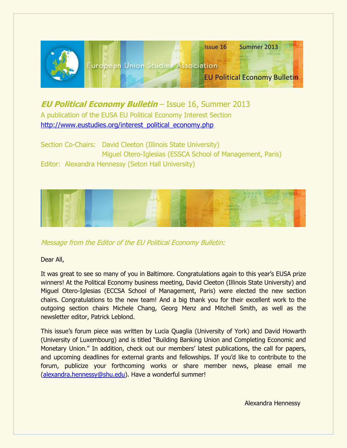

**EU Political Economy Bulletin** – Issue 16, Summer 2013 A publication of the EUSA EU Political Economy Interest Section [http://www.eustudies.org/interest\\_political\\_economy.php](http://www.eustudies.org/interest_political_economy.php)

Section Co-Chairs: David Cleeton (Illinois State University) Miguel Otero-Iglesias (ESSCA School of Management, Paris) Editor: Alexandra Hennessy (Seton Hall University)



Message from the Editor of the EU Political Economy Bulletin:

Dear All,

It was great to see so many of you in Baltimore. Congratulations again to this year"s EUSA prize winners! At the Political Economy business meeting, David Cleeton (Illinois State University) and Miguel Otero-Iglesias (ECCSA School of Management, Paris) were elected the new section chairs. Congratulations to the new team! And a big thank you for their excellent work to the outgoing section chairs Michele Chang, Georg Menz and Mitchell Smith, as well as the newsletter editor, Patrick Leblond.

This issue"s forum piece was written by Lucia Quaglia (University of York) and David Howarth (University of Luxembourg) and is titled "Building Banking Union and Completing Economic and Monetary Union." In addition, check out our members' latest publications, the call for papers, and upcoming deadlines for external grants and fellowships. If you"d like to contribute to the forum, publicize your forthcoming works or share member news, please email me [\(alexandra.hennessy@shu.edu\)](mailto:alexandra.hennessy@shu.edu). Have a wonderful summer!

Alexandra Hennessy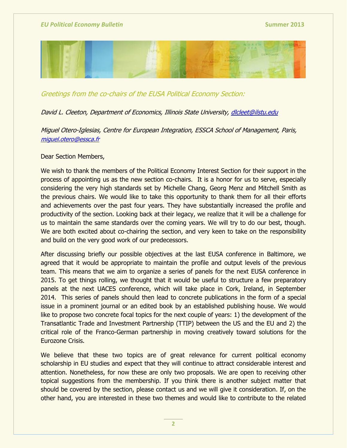

Greetings from the co-chairs of the EUSA Political Economy Section:

## David L. Cleeton, Department of Economics, Illinois State University, [dlcleet@ilstu.edu](mailto:dlcleet@ilstu.edu)

Miguel Otero-Iglesias, Centre for European Integration, ESSCA School of Management, Paris, [miguel.otero@essca.fr](mailto:miguel.otero@essca.fr)

Dear Section Members,

We wish to thank the members of the Political Economy Interest Section for their support in the process of appointing us as the new section co-chairs. It is a honor for us to serve, especially considering the very high standards set by Michelle Chang, Georg Menz and Mitchell Smith as the previous chairs. We would like to take this opportunity to thank them for all their efforts and achievements over the past four years. They have substantially increased the profile and productivity of the section. Looking back at their legacy, we realize that it will be a challenge for us to maintain the same standards over the coming years. We will try to do our best, though. We are both excited about co-chairing the section, and very keen to take on the responsibility and build on the very good work of our predecessors.

After discussing briefly our possible objectives at the last EUSA conference in Baltimore, we agreed that it would be appropriate to maintain the profile and output levels of the previous team. This means that we aim to organize a series of panels for the next EUSA conference in 2015. To get things rolling, we thought that it would be useful to structure a few preparatory panels at the next UACES conference, which will take place in Cork, Ireland, in September 2014. This series of panels should then lead to concrete publications in the form of a special issue in a prominent journal or an edited book by an established publishing house. We would like to propose two concrete focal topics for the next couple of years: 1) the development of the Transatlantic Trade and Investment Partnership (TTIP) between the US and the EU and 2) the critical role of the Franco-German partnership in moving creatively toward solutions for the Eurozone Crisis.

We believe that these two topics are of great relevance for current political economy scholarship in EU studies and expect that they will continue to attract considerable interest and attention. Nonetheless, for now these are only two proposals. We are open to receiving other topical suggestions from the membership. If you think there is another subject matter that should be covered by the section, please contact us and we will give it consideration. If, on the other hand, you are interested in these two themes and would like to contribute to the related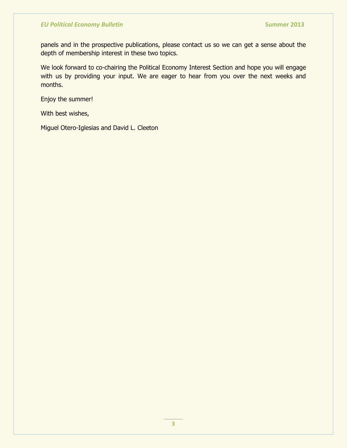panels and in the prospective publications, please contact us so we can get a sense about the depth of membership interest in these two topics.

We look forward to co-chairing the Political Economy Interest Section and hope you will engage with us by providing your input. We are eager to hear from you over the next weeks and months.

Enjoy the summer!

With best wishes,

Miguel Otero-Iglesias and David L. Cleeton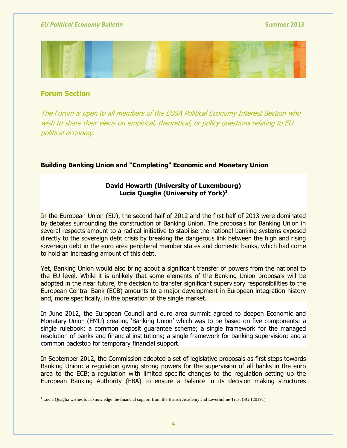

## **Forum Section**

The Forum is open to all members of the EUSA Political Economy Interest Section who wish to share their views on empirical, theoretical, or policy questions relating to EU political economy.

## **Building Banking Union and "Completing" Economic and Monetary Union**

## **David Howarth (University of Luxembourg) Lucia Quaglia (University of York)<sup>1</sup>**

In the European Union (EU), the second half of 2012 and the first half of 2013 were dominated by debates surrounding the construction of Banking Union. The proposals for Banking Union in several respects amount to a radical initiative to stabilise the national banking systems exposed directly to the sovereign debt crisis by breaking the dangerous link between the high and rising sovereign debt in the euro area peripheral member states and domestic banks, which had come to hold an increasing amount of this debt.

Yet, Banking Union would also bring about a significant transfer of powers from the national to the EU level. While it is unlikely that some elements of the Banking Union proposals will be adopted in the near future, the decision to transfer significant supervisory responsibilities to the European Central Bank (ECB) amounts to a major development in European integration history and, more specifically, in the operation of the single market.

In June 2012, the European Council and euro area summit agreed to deepen Economic and Monetary Union (EMU) creating "Banking Union" which was to be based on five components: a single rulebook; a common deposit guarantee scheme; a single framework for the managed resolution of banks and financial institutions; a single framework for banking supervision; and a common backstop for temporary financial support.

In September 2012, the Commission adopted a set of legislative proposals as first steps towards Banking Union: a regulation giving strong powers for the supervision of all banks in the euro area to the ECB; a regulation with limited specific changes to the regulation setting up the European Banking Authority (EBA) to ensure a balance in its decision making structures

  $<sup>1</sup>$  Lucia Quaglia wishes to acknowledge the financial support from the British Academy and Leverhulme Trust (SG 120191).</sup>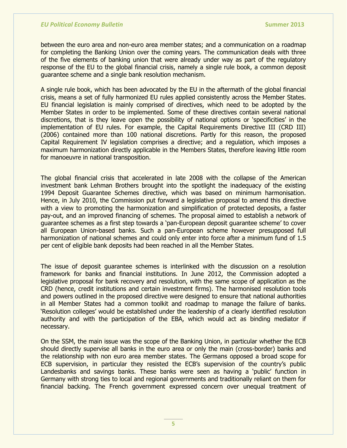between the euro area and non-euro area member states; and a communication on a roadmap for completing the Banking Union over the coming years. The communication deals with three of the five elements of banking union that were already under way as part of the regulatory response of the EU to the global financial crisis, namely a single rule book, a common deposit guarantee scheme and a single bank resolution mechanism.

A single rule book, which has been advocated by the EU in the aftermath of the global financial crisis, means a set of fully harmonized EU rules applied consistently across the Member States. EU financial legislation is mainly comprised of directives, which need to be adopted by the Member States in order to be implemented. Some of these directives contain several national discretions, that is they leave open the possibility of national options or "specificities" in the implementation of EU rules. For example, the Capital Requirements Directive III (CRD III) (2006) contained more than 100 national discretions. Partly for this reason, the proposed Capital Requirement IV legislation comprises a directive; and a regulation, which imposes a maximum harmonization directly applicable in the Members States, therefore leaving little room for manoeuvre in national transposition.

The global financial crisis that accelerated in late 2008 with the collapse of the American investment bank Lehman Brothers brought into the spotlight the inadequacy of the existing 1994 Deposit Guarantee Schemes directive, which was based on minimum harmonisation. Hence, in July 2010, the Commission put forward a legislative proposal to amend this directive with a view to promoting the harmonization and simplification of protected deposits, a faster pay-out, and an improved financing of schemes. The proposal aimed to establish a network of guarantee schemes as a first step towards a "pan-European deposit guarantee scheme" to cover all European Union-based banks. Such a pan-European scheme however presupposed full harmonization of national schemes and could only enter into force after a minimum fund of 1.5 per cent of eligible bank deposits had been reached in all the Member States.

The issue of deposit guarantee schemes is interlinked with the discussion on a resolution framework for banks and financial institutions. In June 2012, the Commission adopted a legislative proposal for bank recovery and resolution, with the same scope of application as the CRD (hence, credit institutions and certain investment firms). The harmonised resolution tools and powers outlined in the proposed directive were designed to ensure that national authorities in all Member States had a common toolkit and roadmap to manage the failure of banks. 'Resolution colleges' would be established under the leadership of a clearly identified resolution authority and with the participation of the EBA, which would act as binding mediator if necessary.

On the SSM, the main issue was the scope of the Banking Union, in particular whether the ECB should directly supervise all banks in the euro area or only the main (cross-border) banks and the relationship with non euro area member states. The Germans opposed a broad scope for ECB supervision, in particular they resisted the ECB's supervision of the country's public Landesbanks and savings banks. These banks were seen as having a 'public' function in Germany with strong ties to local and regional governments and traditionally reliant on them for financial backing. The French government expressed concern over unequal treatment of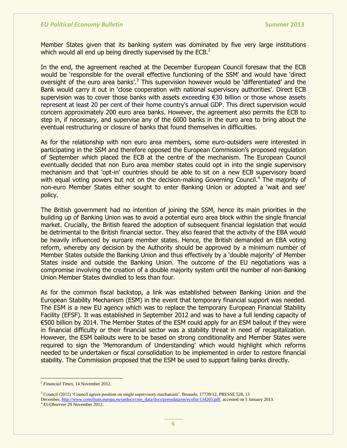Member States given that its banking system was dominated by five very large institutions which would all end up being directly supervised by the  $ECB<sup>2</sup>$ .

In the end, the agreement reached at the December European Council foresaw that the ECB would be 'responsible for the overall effective functioning of the SSM' and would have 'direct oversight of the euro area banks'.<sup>3</sup> This supervision however would be 'differentiated' and the Bank would carry it out in 'close cooperation with national supervisory authorities'. Direct ECB supervision was to cover those banks with assets exceeding €30 billion or those whose assets represent at least 20 per cent of their home country's annual GDP. This direct supervision would concern approximately 200 euro area banks. However, the agreement also permits the ECB to step in, if necessary, and supervise any of the 6000 banks in the euro area to bring about the eventual restructuring or closure of banks that found themselves in difficulties.

As for the relationship with non euro area members, some euro-outsiders were interested in participating in the SSM and therefore opposed the European Commission"s proposed regulation of September which placed the ECB at the centre of the mechanism. The European Council eventually decided that non Euro area member states could opt in into the single supervisory mechanism and that 'opt-in' countries should be able to sit on a new ECB supervisory board with equal voting powers but not on the decision-making Governing Council.<sup>4</sup> The majority of non-euro Member States either sought to enter Banking Union or adopted a "wait and see" policy.

The British government had no intention of joining the SSM, hence its main priorities in the building up of Banking Union was to avoid a potential euro area block within the single financial market. Crucially, the British feared the adoption of subsequent financial legislation that would be detrimental to the British financial sector. They also feared that the activity of the EBA would be heavily influenced by euroare member states. Hence, the British demanded an EBA voting reform, whereby any decision by the Authority should be approved by a minimum number of Member States outside the Banking Union and thus effectively by a 'double majority' of Member States inside and outside the Banking Union. The outcome of the EU negotiations was a compromise involving the creation of a double majority system until the number of non-Banking Union Member States dwindled to less than four.

As for the common fiscal backstop, a link was established between Banking Union and the European Stability Mechanism (ESM) in the event that temporary financial support was needed. The ESM is a new EU agency which was to replace the temporary European Financial Stability Facility (EFSF). It was established in September 2012 and was to have a full lending capacity of €500 billion by 2014. The Member States of the ESM could apply for an ESM bailout if they were in financial difficulty or their financial sector was a stability threat in need of recapitalization. However, the ESM bailouts were to be based on strong conditionality and Member States were required to sign the "Memorandum of Understanding" which would highlight which reforms needed to be undertaken or fiscal consolidation to be implemented in order to restore financial stability. The Commission proposed that the ESM be used to support failing banks directly.

 $\overline{a}$ 

<sup>2</sup> *Financial Times*, 14 November 2012.

<sup>&</sup>lt;sup>3</sup> Council (2012) 'Council agrees position on single supervisory mechanism', Brussels, 17739/12, PRESSE 528, 13 December, [http://www.consilium.europa.eu/uedocs/cms\\_data/docs/pressdata/en/ecofin/134265.pdf,](http://www.consilium.europa.eu/uedocs/cms_data/docs/pressdata/en/ecofin/134265.pdf) accessed on 5 January 2013.

<sup>4</sup> *EUObserver* 29 November 2012.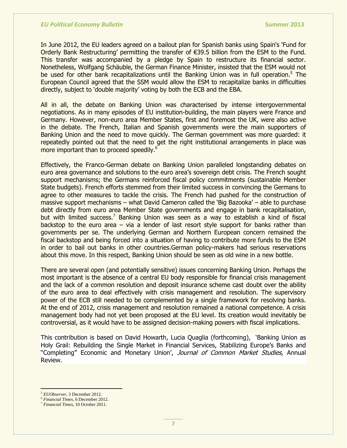In June 2012, the EU leaders agreed on a bailout plan for Spanish banks using Spain's "Fund for Orderly Bank Restructuring" permitting the transfer of €39.5 billion from the ESM to the Fund. This transfer was accompanied by a pledge by Spain to restructure its financial sector. Nonetheless, Wolfgang Schäuble, the German Finance Minister, insisted that the ESM would not be used for other bank recapitalizations until the Banking Union was in full operation.<sup>5</sup> The European Council agreed that the SSM would allow the ESM to recapitalize banks in difficulties directly, subject to "double majority" voting by both the ECB and the EBA.

All in all, the debate on Banking Union was characterised by intense intergovernmental negotiations. As in many episodes of EU institution-building, the main players were France and Germany. However, non-euro area Member States, first and foremost the UK, were also active in the debate. The French, Italian and Spanish governments were the main supporters of Banking Union and the need to move quickly. The German government was more guarded: it repeatedly pointed out that the need to get the right institutional arrangements in place was more important than to proceed speedily.<sup>6</sup>

Effectively, the Franco-German debate on Banking Union paralleled longstanding debates on euro area governance and solutions to the euro area"s sovereign debt crisis. The French sought support mechanisms; the Germans reinforced fiscal policy commitments (sustainable Member State budgets). French efforts stemmed from their limited success in convincing the Germans to agree to other measures to tackle the crisis. The French had pushed for the construction of massive support mechanisms – what David Cameron called the "Big Bazooka" – able to purchase debt directly from euro area Member State governments and engage in bank recapitalisation, but with limited success.<sup>7</sup> Banking Union was seen as a way to establish a kind of fiscal backstop to the euro area – via a lender of last resort style support for banks rather than governments per se. The underlying German and Northern European concern remained the fiscal backstop and being forced into a situation of having to contribute more funds to the ESM in order to bail out banks in other countries.German policy-makers had serious reservations about this move. In this respect, Banking Union should be seen as old wine in a new bottle.

There are several open (and potentially sensitive) issues concerning Banking Union. Perhaps the most important is the absence of a central EU body responsible for financial crisis management and the lack of a common resolution and deposit insurance scheme cast doubt over the ability of the euro area to deal effectively with crisis management and resolution. The supervisory power of the ECB still needed to be complemented by a single framework for resolving banks. At the end of 2012, crisis management and resolution remained a national competence. A crisis management body had not yet been proposed at the EU level. Its creation would inevitably be controversial, as it would have to be assigned decision-making powers with fiscal implications.

This contribution is based on David Howarth, Lucia Quaglia (forthcoming), "Banking Union as Holy Grail: Rebuilding the Single Market in Financial Services, Stabilizing Europe's Banks and "Completing" Economic and Monetary Union', Journal of Common Market Studies, Annual Review.

 $\overline{a}$ 

<sup>5</sup> *EUObserver,* 3 December 2012.

<sup>6</sup> *Financial Times*, 6 December 2012.

<sup>7</sup> *Financial Times*, 10 October 2011.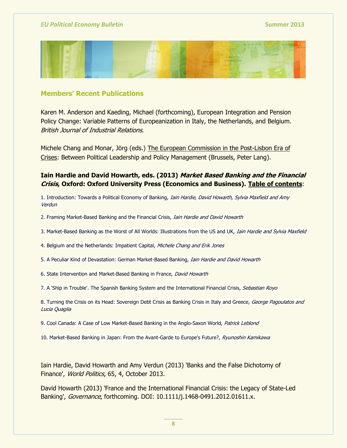

## **Members' Recent Publications**

Karen M. Anderson and Kaeding, Michael (forthcoming), European Integration and Pension Policy Change: Variable Patterns of Europeanization in Italy, the Netherlands, and Belgium. British Journal of Industrial Relations.

Michele Chang and Monar, Jörg (eds.) [The European Commission in the Post-Lisbon Era of](https://mail.shu.edu/owa/redir.aspx?C=Dhl30syyzkubsv-lKZByeww3jjzfNdAIozVwPy4fb2oMRVmByZcx1o01bfL2gUb3RV0ciPHfipk.&URL=http%3a%2f%2fwww.peterlang.com%2findex.cfm%3fevent%3dcmp.ccc.seitenstruktur.detailseiten%26seitentyp%3dprodukt%26pk%3d75045%26cid%3d5%26concordeid%3d574028)  [Crises:](https://mail.shu.edu/owa/redir.aspx?C=Dhl30syyzkubsv-lKZByeww3jjzfNdAIozVwPy4fb2oMRVmByZcx1o01bfL2gUb3RV0ciPHfipk.&URL=http%3a%2f%2fwww.peterlang.com%2findex.cfm%3fevent%3dcmp.ccc.seitenstruktur.detailseiten%26seitentyp%3dprodukt%26pk%3d75045%26cid%3d5%26concordeid%3d574028) Between Political Leadership and Policy Management (Brussels, Peter Lang).

# **Iain Hardie and David Howarth, eds. (2013) Market Based Banking and the Financial Crisis, Oxford: Oxford University Press (Economics and Business). Table of contents**:

1. Introduction: Towards a Political Economy of Banking, *Iain Hardie, David Howarth, Sylvia Maxfield and Amy* **Verdun** 

- 2. Framing Market-Based Banking and the Financial Crisis, *Iain Hardie and David Howarth*
- 3. Market-Based Banking as the Worst of All Worlds: Illustrations from the US and UK, *Iain Hardie and Sylvia Maxfield*
- 4. Belgium and the Netherlands: Impatient Capital, Michele Chang and Erik Jones
- 5. A Peculiar Kind of Devastation: German Market-Based Banking, *Iain Hardie and David Howarth*
- 6. State Intervention and Market-Based Banking in France, David Howarth
- 7. A 'Ship in Trouble'. The Spanish Banking System and the International Financial Crisis, Sebastian Royo

8. Turning the Crisis on its Head: Sovereign Debt Crisis as Banking Crisis in Italy and Greece, George Pagoulatos and Lucia Quaglia

9. Cool Canada: A Case of Low Market-Based Banking in the Anglo-Saxon World, Patrick Leblond

10. Market-Based Banking in Japan: From the Avant-Garde to Europe's Future?, Ryunoshin Kamikawa

Iain Hardie, David Howarth and Amy Verdun (2013) 'Banks and the False Dichotomy of Finance', World Politics, 65, 4, October 2013.

David Howarth (2013) 'France and the International Financial Crisis: the Legacy of State-Led Banking', Governance, forthcoming. DOI: 10.1111/j.1468-0491.2012.01611.x.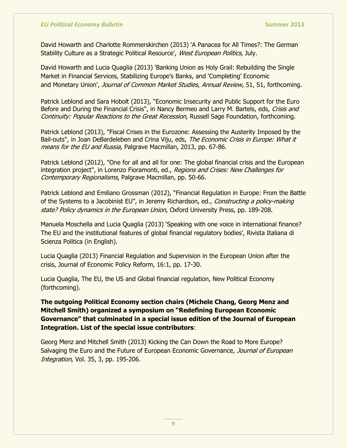David Howarth and Charlotte Rommerskirchen (2013) 'A Panacea for All Times?: The German Stability Culture as a Strategic Political Resource', West European Politics, July.

David Howarth and Lucia Quaglia (2013) 'Banking Union as Holy Grail: Rebuilding the Single Market in Financial Services, Stabilizing Europe's Banks, and 'Completing' Economic and Monetary Union', Journal of Common Market Studies, Annual Review, 51, S1, forthcoming.

Patrick Leblond and Sara Hobolt (2013), "Economic Insecurity and Public Support for the Euro Before and During the Financial Crisis", in Nancy Bermeo and Larry M. Bartels, eds, Crisis and Continuity: Popular Reactions to the Great Recession, Russell Sage Foundation, forthcoming.

Patrick Leblond (2013), "Fiscal Crises in the Eurozone: Assessing the Austerity Imposed by the Bail-outs", in Joan DeBardeleben and Crina Viju, eds, The Economic Crisis in Europe: What it means for the EU and Russia, Palgrave Macmillan, 2013, pp. 67-86.

Patrick Leblond (2012), "One for all and all for one: The global financial crisis and the European integration project", in Lorenzo Fioramonti, ed., Regions and Crises: New Challenges for Contemporary Regionalisms, Palgrave Macmillan, pp. 50-66.

Patrick Leblond and Emiliano Grossman (2012), "Financial Regulation in Europe: From the Battle of the Systems to a Jacobinist EU", in Jeremy Richardson, ed., Constructing a policy-making state? Policy dynamics in the European Union, Oxford University Press, pp. 189-208.

Manuela Moschella and Lucia Quaglia (2013) "Speaking with one voice in international finance? The EU and the institutional features of global financial regulatory bodies", Rivista Italiana di Scienza Politica (in English).

Lucia Quaglia (2013) Financial Regulation and Supervision in the European Union after the crisis, Journal of Economic Policy Reform, 16:1, pp. 17-30.

Lucia Quaglia, The EU, the US and Global financial regulation, New Political Economy (forthcoming).

**The outgoing Political Economy section chairs (Michele Chang, Georg Menz and Mitchell Smith) organized a symposium on "Redefining European Economic Governance" that culminated in a special issue edition of the Journal of European Integration. List of the special issue contributors**:

Georg Menz and Mitchell Smith (2013) Kicking the Can Down the Road to More Europe? Salvaging the Euro and the Future of European Economic Governance, Journal of European Integration, Vol. 35, 3, pp. 195-206.

**9**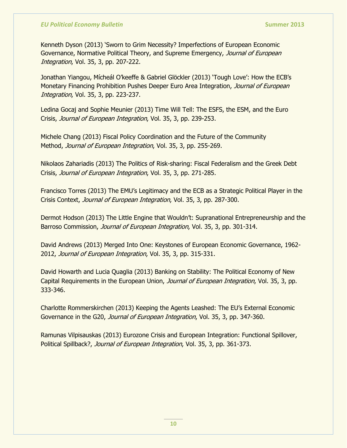Kenneth Dyson (2013) "Sworn to Grim Necessity? Imperfections of European Economic Governance, Normative Political Theory, and Supreme Emergency, Journal of European Integration, Vol. 35, 3, pp. 207-222.

Jonathan Yiangou, Mícheál O"keeffe & Gabriel Glöckler (2013) "Tough Love": How the ECB"s Monetary Financing Prohibition Pushes Deeper Euro Area Integration, Journal of European Integration, Vol. 35, 3, pp. 223-237.

Ledina Gocaj and Sophie Meunier (2013) Time Will Tell: The ESFS, the ESM, and the Euro Crisis, Journal of European Integration, Vol. 35, 3, pp. 239-253.

Michele Chang (2013) Fiscal Policy Coordination and the Future of the Community Method, Journal of European Integration, Vol. 35, 3, pp. 255-269.

Nikolaos Zahariadis (2013) The Politics of Risk-sharing: Fiscal Federalism and the Greek Debt Crisis, Journal of European Integration, Vol. 35, 3, pp. 271-285.

Francisco Torres (2013) The EMU"s Legitimacy and the ECB as a Strategic Political Player in the Crisis Context, Journal of European Integration, Vol. 35, 3, pp. 287-300.

Dermot Hodson (2013) The Little Engine that Wouldn"t: Supranational Entrepreneurship and the Barroso Commission, *Journal of European Integration*, Vol. 35, 3, pp. 301-314.

David Andrews (2013) Merged Into One: Keystones of European Economic Governance, 1962- 2012, Journal of European Integration, Vol. 35, 3, pp. 315-331.

David Howarth and Lucia Quaglia (2013) Banking on Stability: The Political Economy of New Capital Requirements in the European Union, *Journal of European Integration*, Vol. 35, 3, pp. 333-346.

Charlotte Rommerskirchen (2013) Keeping the Agents Leashed: The EU"s External Economic Governance in the G20, Journal of European Integration, Vol. 35, 3, pp. 347-360.

Ramunas Vilpisauskas (2013) Eurozone Crisis and European Integration: Functional Spillover, Political Spillback?, Journal of European Integration, Vol. 35, 3, pp. 361-373.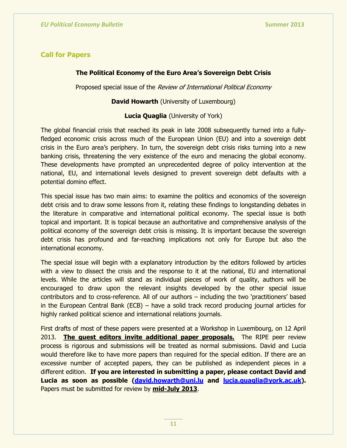## **Call for Papers**

## **The Political Economy of the Euro Area's Sovereign Debt Crisis**

Proposed special issue of the Review of International Political Economy

### **David Howarth** (University of Luxembourg)

## **Lucia Quaglia** (University of York)

The global financial crisis that reached its peak in late 2008 subsequently turned into a fullyfledged economic crisis across much of the European Union (EU) and into a sovereign debt crisis in the Euro area"s periphery. In turn, the sovereign debt crisis risks turning into a new banking crisis, threatening the very existence of the euro and menacing the global economy. These developments have prompted an unprecedented degree of policy intervention at the national, EU, and international levels designed to prevent sovereign debt defaults with a potential domino effect.

This special issue has two main aims: to examine the politics and economics of the sovereign debt crisis and to draw some lessons from it, relating these findings to longstanding debates in the literature in comparative and international political economy. The special issue is both topical and important. It is topical because an authoritative and comprehensive analysis of the political economy of the sovereign debt crisis is missing. It is important because the sovereign debt crisis has profound and far-reaching implications not only for Europe but also the international economy.

The special issue will begin with a explanatory introduction by the editors followed by articles with a view to dissect the crisis and the response to it at the national, EU and international levels. While the articles will stand as individual pieces of work of quality, authors will be encouraged to draw upon the relevant insights developed by the other special issue contributors and to cross-reference. All of our authors – including the two "practitioners" based in the European Central Bank (ECB) – have a solid track record producing journal articles for highly ranked political science and international relations journals.

First drafts of most of these papers were presented at a Workshop in Luxembourg, on 12 April 2013. **The guest editors invite additional paper proposals.** The RIPE peer review process is rigorous and submissions will be treated as normal submissions. David and Lucia would therefore like to have more papers than required for the special edition. If there are an excessive number of accepted papers, they can be published as independent pieces in a different edition. **If you are interested in submitting a paper, please contact David and Lucia as soon as possible [\(david.howarth@uni.lu](mailto:david.howarth@uni.lu) and [lucia.quaglia@york.ac.uk\)](mailto:lucia.quaglia@york.ac.uk).** Papers must be submitted for review by **mid-July 2013**.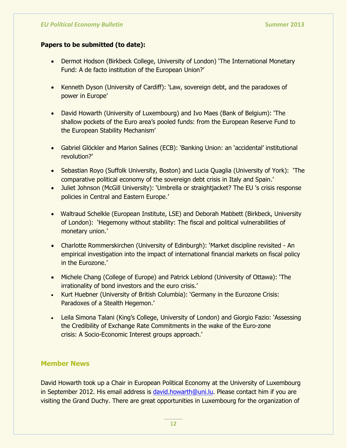## **Papers to be submitted (to date):**

- Dermot Hodson (Birkbeck College, University of London) 'The International Monetary Fund: A de facto institution of the European Union?"
- Kenneth Dyson (University of Cardiff): 'Law, sovereign debt, and the paradoxes of power in Europe'
- David Howarth (University of Luxembourg) and Ivo Maes (Bank of Belgium): "The shallow pockets of the Euro area's pooled funds: from the European Reserve Fund to the European Stability Mechanism"
- Gabriel Glöckler and Marion Salines (ECB): "Banking Union: an "accidental" institutional revolution?"
- Sebastian Royo (Suffolk University, Boston) and Lucia Quaglia (University of York): 'The comparative political economy of the sovereign debt crisis in Italy and Spain."
- Juliet Johnson (McGill University): 'Umbrella or straightjacket? The EU 's crisis response policies in Central and Eastern Europe.'
- Waltraud Schelkle (European Institute, LSE) and Deborah Mabbett (Birkbeck, University of London): "Hegemony without stability: The fiscal and political vulnerabilities of monetary union.'
- Charlotte Rommerskirchen (University of Edinburgh): "Market discipline revisited An empirical investigation into the impact of international financial markets on fiscal policy in the Eurozone.'
- Michele Chang (College of Europe) and Patrick Leblond (University of Ottawa): "The irrationality of bond investors and the euro crisis.'
- Kurt Huebner (University of British Columbia): 'Germany in the Eurozone Crisis: Paradoxes of a Stealth Hegemon.'
- Leila Simona Talani (King's College, University of London) and Giorgio Fazio: 'Assessing the Credibility of Exchange Rate Commitments in the wake of the Euro-zone crisis: A Socio-Economic Interest groups approach."

# **Member News**

David Howarth took up a Chair in European Political Economy at the University of Luxembourg in September 2012. His email address is [david.howarth@uni.lu.](mailto:david.howarth@uni.lu) Please contact him if you are visiting the Grand Duchy. There are great opportunities in Luxembourg for the organization of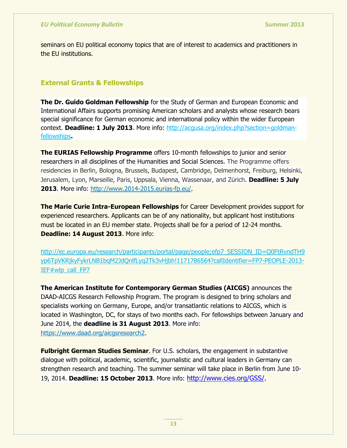seminars on EU political economy topics that are of interest to academics and practitioners in the EU institutions.

# **External Grants & Fellowships**

**The Dr. Guido Goldman Fellowship** for the Study of German and European Economic and International Affairs supports promising American scholars and analysts whose research bears special significance for German economic and international policy within the wider European context. **Deadline: 1 July 2013**. More info: [http://acgusa.org/index.php?section=goldman](http://acgusa.org/index.php?section=goldman-fellowships)[fellowships](http://acgusa.org/index.php?section=goldman-fellowships)**.**

**The EURIAS Fellowship Programme** offers 10-month fellowships to junior and senior researchers in all disciplines of the Humanities and Social Sciences. The Programme offers residencies in Berlin, Bologna, Brussels, Budapest, Cambridge, Delmenhorst, Freiburg, Helsinki, Jerusalem, Lyon, Marseille, Paris, Uppsala, Vienna, Wassenaar, and Zürich. **Deadline: 5 July 2013**. More info: [http://www.2014-2015.eurias-fp.eu/.](http://www.2014-2015.eurias-fp.eu/)

**The Marie Curie Intra-European Fellowships** for Career Development provides support for experienced researchers. Applicants can be of any nationality, but applicant host institutions must be located in an EU member state. Projects shall be for a period of 12-24 months. **Deadline: 14 August 2013**. More info:

[http://ec.europa.eu/research/participants/portal/page/people;efp7\\_SESSION\\_ID=Q0FtRvndTH9](http://ec.europa.eu/research/participants/portal/page/people;efp7_SESSION_ID=Q0FtRvndTH9yp6TpVKRjkyFykrLNB1bqM2JdQnlfLyq2Tk3vHjbh!1171786564?callIdentifier=FP7-PEOPLE-2013-IEF#wlp_call_FP7) [yp6TpVKRjkyFykrLNB1bqM2JdQnlfLyq2Tk3vHjbh!1171786564?callIdentifier=FP7-PEOPLE-2013-](http://ec.europa.eu/research/participants/portal/page/people;efp7_SESSION_ID=Q0FtRvndTH9yp6TpVKRjkyFykrLNB1bqM2JdQnlfLyq2Tk3vHjbh!1171786564?callIdentifier=FP7-PEOPLE-2013-IEF#wlp_call_FP7) [IEF#wlp\\_call\\_FP7](http://ec.europa.eu/research/participants/portal/page/people;efp7_SESSION_ID=Q0FtRvndTH9yp6TpVKRjkyFykrLNB1bqM2JdQnlfLyq2Tk3vHjbh!1171786564?callIdentifier=FP7-PEOPLE-2013-IEF#wlp_call_FP7)

**The American Institute for Contemporary German Studies (AICGS)** announces the DAAD-AICGS Research Fellowship Program. The program is designed to bring scholars and specialists working on Germany, Europe, and/or transatlantic relations to AICGS, which is located in Washington, DC, for stays of two months each. For fellowships between January and June 2014, the **deadline is 31 August 2013**. More info: [https://www.daad.org/aicgsresearch2.](https://www.daad.org/aicgsresearch2)

**Fulbright German Studies Seminar.** For U.S. scholars, the engagement in substantive dialogue with political, academic, scientific, journalistic and cultural leaders in Germany can strengthen research and teaching. The summer seminar will take place in Berlin from June 10- 19, 2014. **Deadline: 15 October 2013**. More info: [http://www.cies.org/GSS/.](http://www.cies.org/GSS/)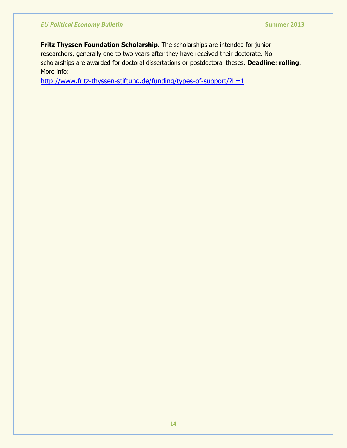**Fritz Thyssen Foundation Scholarship.** The scholarships are intended for junior researchers, generally one to two years after they have received their doctorate. No scholarships are awarded for doctoral dissertations or postdoctoral theses. **Deadline: rolling**. More info:

<http://www.fritz-thyssen-stiftung.de/funding/types-of-support/?L=1>